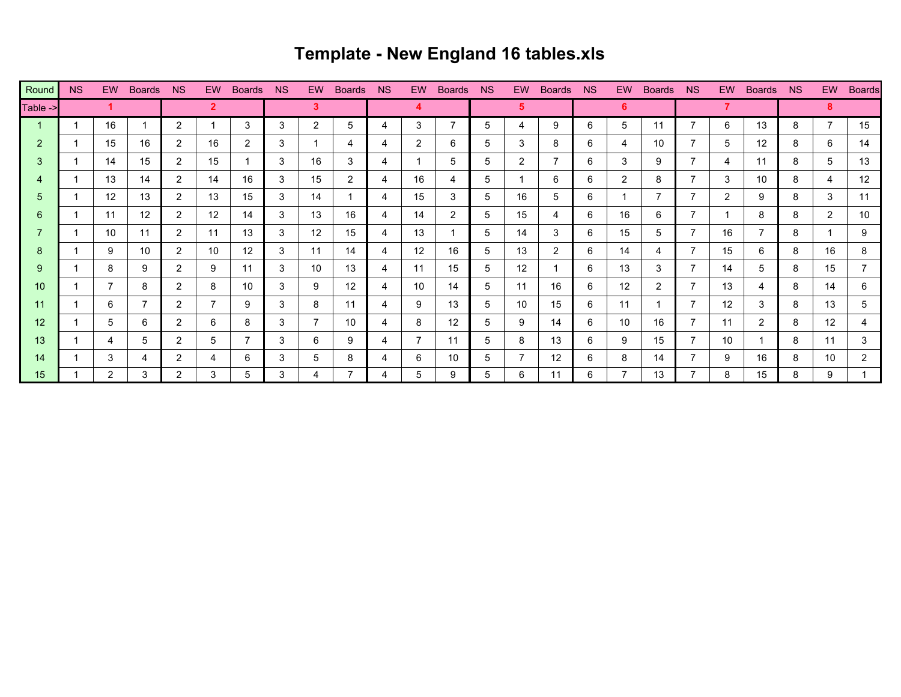## **Template - New England 16 tables.xls**

| Round    | <b>NS</b> | EW.               | <b>Boards</b>     | <b>NS</b>            |    | EW Boards         | <b>NS</b> | EW . | Boards         | <b>NS</b> | EW .              | <b>Boards</b> | NS. | EW.          | <b>Boards</b> | NS. | EW . | <b>Boards</b> | NS N | EW.               | <b>Boards</b> | <b>NS</b> | EW.            | <b>Boards</b> |
|----------|-----------|-------------------|-------------------|----------------------|----|-------------------|-----------|------|----------------|-----------|-------------------|---------------|-----|--------------|---------------|-----|------|---------------|------|-------------------|---------------|-----------|----------------|---------------|
| Table -> |           |                   |                   |                      |    |                   |           | 3.   |                |           |                   |               |     | 5.           |               |     | 6    |               |      |                   |               |           | 8              |               |
|          |           | 16                |                   | $\overline{2}$       |    | 3                 | 3         | 2    | 5              | 4         | 3                 |               | 5   | 4            | 9             | 6   | 5    | 11            | 7    | 6                 | 13            | 8         | $\overline{7}$ | 15            |
| 2        |           | 15                | 16                | $\mathbf{2}^{\circ}$ | 16 | $\mathbf{2}$      | 3         |      | 4              | 4         | $\overline{2}$    | 6             | 5   | 3            | 8             | 6   | 4    | 10            |      | 5                 | 12            | 8         | 6              | 14            |
| 3        |           | 14                | 15                | $\mathbf{2}$         | 15 |                   | 3         | 16   | 3              | 4         |                   | 5             | 5   | $\mathbf{2}$ |               | 6   | 3    | 9             |      | 4                 | 11            | 8         | 5              | 13            |
|          |           | 13                | 14                | $\overline{2}$       | 14 | 16                | 3         | 15   | $\overline{2}$ | 4         | 16                | 4             | 5   |              | 6             | 6   | 2    | 8             |      | 3                 | 10            | 8         | 4              | 12            |
| 5        |           | $12 \overline{ }$ | 13                | $\mathbf{2}^{\circ}$ | 13 | 15                | 3         | 14   |                | 4         | 15                | 3             | 5   | 16           | 5             | 6   |      | 7             |      | 2                 | 9             | 8         | 3              | 11            |
| 6        |           | 11                | $12 \overline{ }$ | $\overline{2}$       | 12 | 14                | 3         | 13   | 16             | 4         | 14                | 2             | 5   | 15           | 4             | 6   | 16   | 6             |      |                   | 8             | 8         | $\overline{2}$ | 10            |
|          |           | 10                | 11                | $\overline{2}$       | 11 | 13                | 3         | 12   | 15             | 4         | 13                |               | 5.  | 14           | 3             | 6   | 15   | 5             |      | 16                | 7             | 8         |                | 9             |
| 8        |           | 9                 | 10                | $\mathbf{2}^{\circ}$ | 10 | $12 \overline{ }$ | 3         | 11   | 14             | 4         | $12 \overline{ }$ | 16            | 5   | 13           | 2             | 6   | 14   | 4             |      | 15                | 6             | 8         | 16             | 8             |
| 9        |           | 8                 | 9                 | $\overline{2}$       | 9  | 11                | 3         | 10   | 13             | 4         | 11                | 15            | 5   | 12           |               | 6   | 13   | 3             |      | 14                | 5             | 8         | 15             | 7             |
| 10       |           | 7                 | 8                 | $\overline{2}$       | 8  | 10                | 3         | 9    | 12             | 4         | 10                | 14            | 5   | 11           | 16            | 6   | 12   | 2             |      | 13                | 4             | 8         | 14             | 6             |
| 11       |           | 6                 |                   | $\overline{2}$       |    | 9                 | 3         | 8    | 11             | 4         | 9                 | 13            | 5   | 10           | 15            | 6   | 11   |               |      | $12 \overline{ }$ | 3             | 8         | 13             | 5             |
| 12       |           | 5                 | 6                 | $\overline{2}$       | 6  | 8                 | 3         |      | 10             | 4         | 8                 | $12 \,$       | 5   | 9            | 14            | 6   | 10   | 16            |      | 11                | 2             | 8         | 12             | 4             |
| 13       |           | 4                 | 5                 | $\overline{2}$       | 5  |                   | 3         | 6    | 9              | 4         |                   | 11            | 5   | 8            | 13            | 6   | 9    | 15            |      | 10                |               | 8         | 11             | 3             |
| 14       |           | 3                 | 4                 | $\overline{2}$       | 4  | 6                 | 3         | 5    | 8              | 4         | 6                 | 10            | 5   |              | 12            | 6   | 8    | 14            |      | 9                 | 16            | 8         | 10             | 2             |
| 15       |           | $\overline{2}$    | 3                 | $\overline{2}$       | 3  | 5                 | 3         | 4    | $\overline{7}$ | 4         | 5                 | 9             | 5   | 6            | 11            | 6   | 7    | 13            |      | 8                 | 15            | 8         | 9              |               |